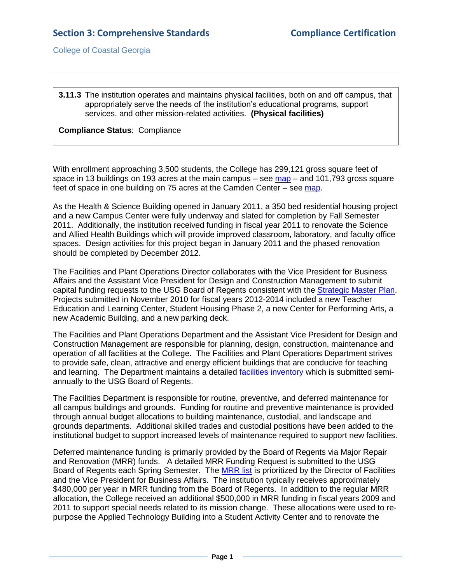College of Coastal Georgia

**3.11.3** The institution operates and maintains physical facilities, both on and off campus, that appropriately serve the needs of the institution's educational programs, support services, and other mission-related activities. **(Physical facilities)**

## **Compliance Status**: Compliance

With enrollment approaching 3,500 students, the College has 299,121 gross square feet of space in 13 buildings on 193 acres at the main campus – see [map](2.11.2.aBrunswickCampusMap.pdf#page=1) – and 101,793 gross square feet of space in one building on 75 acres at the Camden Center – see [map.](2.11.2.bCamdenCentermap.pdf#page=1)

As the Health & Science Building opened in January 2011, a 350 bed residential housing project and a new Campus Center were fully underway and slated for completion by Fall Semester 2011. Additionally, the institution received funding in fiscal year 2011 to renovate the Science and Allied Health Buildings which will provide improved classroom, laboratory, and faculty office spaces. Design activities for this project began in January 2011 and the phased renovation should be completed by December 2012.

The Facilities and Plant Operations Director collaborates with the Vice President for Business Affairs and the Assistant Vice President for Design and Construction Management to submit capital funding requests to the USG Board of Regents consistent with the [Strategic Master Plan.](SMP2020Vision.pdf#page=1) Projects submitted in November 2010 for fiscal years 2012-2014 included a new Teacher Education and Learning Center, Student Housing Phase 2, a new Center for Performing Arts, a new Academic Building, and a new parking deck.

The Facilities and Plant Operations Department and the Assistant Vice President for Design and Construction Management are responsible for planning, design, construction, maintenance and operation of all facilities at the College. The Facilities and Plant Operations Department strives to provide safe, clean, attractive and energy efficient buildings that are conducive for teaching and learning. The Department maintains a detailed [facilities inventory](2.11.2bFacilitiesInventory.pdf#page=1) which is submitted semiannually to the USG Board of Regents.

The Facilities Department is responsible for routine, preventive, and deferred maintenance for all campus buildings and grounds. Funding for routine and preventive maintenance is provided through annual budget allocations to building maintenance, custodial, and landscape and grounds departments. Additional skilled trades and custodial positions have been added to the institutional budget to support increased levels of maintenance required to support new facilities.

Deferred maintenance funding is primarily provided by the Board of Regents via Major Repair and Renovation (MRR) funds. A detailed MRR Funding Request is submitted to the USG Board of Regents each Spring Semester. The [MRR list](2.11.2cMMRdocuments.pdf#page=1) is prioritized by the Director of Facilities and the Vice President for Business Affairs. The institution typically receives approximately \$480,000 per year in MRR funding from the Board of Regents. In addition to the regular MRR allocation, the College received an additional \$500,000 in MRR funding in fiscal years 2009 and 2011 to support special needs related to its mission change. These allocations were used to repurpose the Applied Technology Building into a Student Activity Center and to renovate the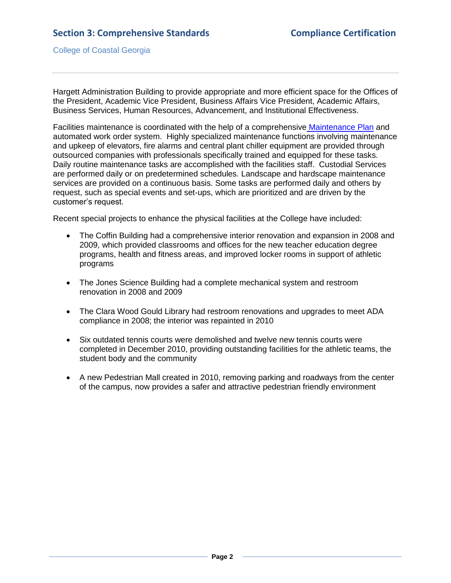College of Coastal Georgia

Hargett Administration Building to provide appropriate and more efficient space for the Offices of the President, Academic Vice President, Business Affairs Vice President, Academic Affairs, Business Services, Human Resources, Advancement, and Institutional Effectiveness.

Facilities maintenance is coordinated with the help of a comprehensive [Maintenance Plan](3.11.3.fMaintenancePlan.pdf#page=1) and automated work order system. Highly specialized maintenance functions involving maintenance and upkeep of elevators, fire alarms and central plant chiller equipment are provided through outsourced companies with professionals specifically trained and equipped for these tasks. Daily routine maintenance tasks are accomplished with the facilities staff. Custodial Services are performed daily or on predetermined schedules. Landscape and hardscape maintenance services are provided on a continuous basis. Some tasks are performed daily and others by request, such as special events and set-ups, which are prioritized and are driven by the customer's request.

Recent special projects to enhance the physical facilities at the College have included:

- The Coffin Building had a comprehensive interior renovation and expansion in 2008 and 2009, which provided classrooms and offices for the new teacher education degree programs, health and fitness areas, and improved locker rooms in support of athletic programs
- The Jones Science Building had a complete mechanical system and restroom renovation in 2008 and 2009
- The Clara Wood Gould Library had restroom renovations and upgrades to meet ADA compliance in 2008; the interior was repainted in 2010
- Six outdated tennis courts were demolished and twelve new tennis courts were completed in December 2010, providing outstanding facilities for the athletic teams, the student body and the community
- A new Pedestrian Mall created in 2010, removing parking and roadways from the center of the campus, now provides a safer and attractive pedestrian friendly environment